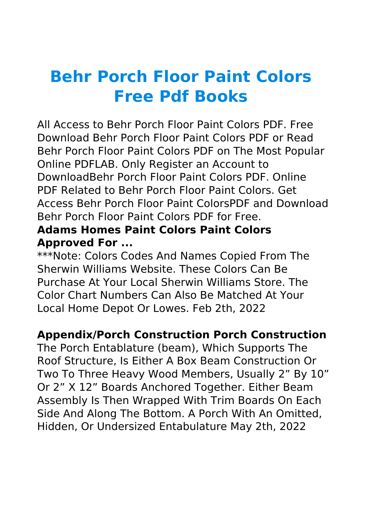# **Behr Porch Floor Paint Colors Free Pdf Books**

All Access to Behr Porch Floor Paint Colors PDF. Free Download Behr Porch Floor Paint Colors PDF or Read Behr Porch Floor Paint Colors PDF on The Most Popular Online PDFLAB. Only Register an Account to DownloadBehr Porch Floor Paint Colors PDF. Online PDF Related to Behr Porch Floor Paint Colors. Get Access Behr Porch Floor Paint ColorsPDF and Download Behr Porch Floor Paint Colors PDF for Free.

#### **Adams Homes Paint Colors Paint Colors Approved For ...**

\*\*\*Note: Colors Codes And Names Copied From The Sherwin Williams Website. These Colors Can Be Purchase At Your Local Sherwin Williams Store. The Color Chart Numbers Can Also Be Matched At Your Local Home Depot Or Lowes. Feb 2th, 2022

# **Appendix/Porch Construction Porch Construction**

The Porch Entablature (beam), Which Supports The Roof Structure, Is Either A Box Beam Construction Or Two To Three Heavy Wood Members, Usually 2" By 10" Or 2" X 12" Boards Anchored Together. Either Beam Assembly Is Then Wrapped With Trim Boards On Each Side And Along The Bottom. A Porch With An Omitted, Hidden, Or Undersized Entabulature May 2th, 2022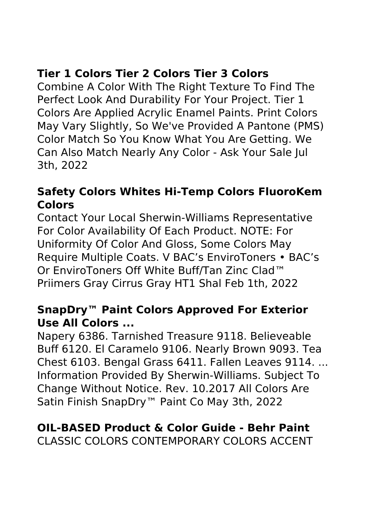# **Tier 1 Colors Tier 2 Colors Tier 3 Colors**

Combine A Color With The Right Texture To Find The Perfect Look And Durability For Your Project. Tier 1 Colors Are Applied Acrylic Enamel Paints. Print Colors May Vary Slightly, So We've Provided A Pantone (PMS) Color Match So You Know What You Are Getting. We Can Also Match Nearly Any Color - Ask Your Sale Jul 3th, 2022

#### **Safety Colors Whites Hi-Temp Colors FluoroKem Colors**

Contact Your Local Sherwin-Williams Representative For Color Availability Of Each Product. NOTE: For Uniformity Of Color And Gloss, Some Colors May Require Multiple Coats. V BAC's EnviroToners • BAC's Or EnviroToners Off White Buff/Tan Zinc Clad™ Priimers Gray Cirrus Gray HT1 Shal Feb 1th, 2022

#### **SnapDry™ Paint Colors Approved For Exterior Use All Colors ...**

Napery 6386. Tarnished Treasure 9118. Believeable Buff 6120. El Caramelo 9106. Nearly Brown 9093. Tea Chest 6103. Bengal Grass 6411. Fallen Leaves 9114. ... Information Provided By Sherwin-Williams. Subject To Change Without Notice. Rev. 10.2017 All Colors Are Satin Finish SnapDry™ Paint Co May 3th, 2022

#### **OIL-BASED Product & Color Guide - Behr Paint** CLASSIC COLORS CONTEMPORARY COLORS ACCENT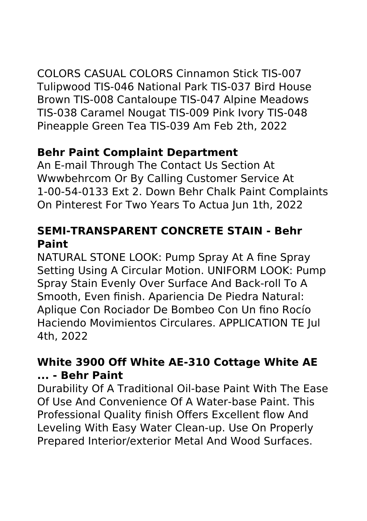COLORS CASUAL COLORS Cinnamon Stick TIS-007 Tulipwood TIS-046 National Park TIS-037 Bird House Brown TIS-008 Cantaloupe TIS-047 Alpine Meadows TIS-038 Caramel Nougat TIS-009 Pink Ivory TIS-048 Pineapple Green Tea TIS-039 Am Feb 2th, 2022

#### **Behr Paint Complaint Department**

An E-mail Through The Contact Us Section At Wwwbehrcom Or By Calling Customer Service At 1-00-54-0133 Ext 2. Down Behr Chalk Paint Complaints On Pinterest For Two Years To Actua Jun 1th, 2022

# **SEMI-TRANSPARENT CONCRETE STAIN - Behr Paint**

NATURAL STONE LOOK: Pump Spray At A fine Spray Setting Using A Circular Motion. UNIFORM LOOK: Pump Spray Stain Evenly Over Surface And Back-roll To A Smooth, Even finish. Apariencia De Piedra Natural: Aplique Con Rociador De Bombeo Con Un fino Rocío Haciendo Movimientos Circulares. APPLICATION TE Jul 4th, 2022

# **White 3900 Off White AE-310 Cottage White AE ... - Behr Paint**

Durability Of A Traditional Oil-base Paint With The Ease Of Use And Convenience Of A Water-base Paint. This Professional Quality finish Offers Excellent flow And Leveling With Easy Water Clean-up. Use On Properly Prepared Interior/exterior Metal And Wood Surfaces.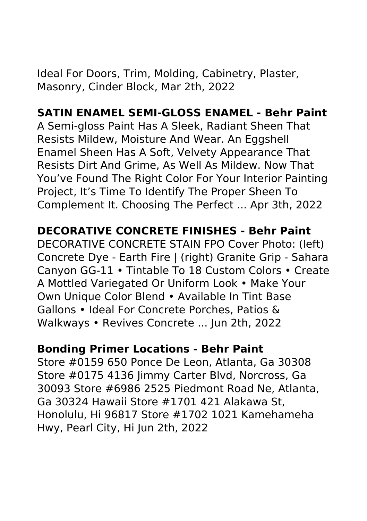Ideal For Doors, Trim, Molding, Cabinetry, Plaster, Masonry, Cinder Block, Mar 2th, 2022

#### **SATIN ENAMEL SEMI-GLOSS ENAMEL - Behr Paint**

A Semi-gloss Paint Has A Sleek, Radiant Sheen That Resists Mildew, Moisture And Wear. An Eggshell Enamel Sheen Has A Soft, Velvety Appearance That Resists Dirt And Grime, As Well As Mildew. Now That You've Found The Right Color For Your Interior Painting Project, It's Time To Identify The Proper Sheen To Complement It. Choosing The Perfect ... Apr 3th, 2022

#### **DECORATIVE CONCRETE FINISHES - Behr Paint**

DECORATIVE CONCRETE STAIN FPO Cover Photo: (left) Concrete Dye - Earth Fire | (right) Granite Grip - Sahara Canyon GG-11 • Tintable To 18 Custom Colors • Create A Mottled Variegated Or Uniform Look • Make Your Own Unique Color Blend • Available In Tint Base Gallons • Ideal For Concrete Porches, Patios & Walkways • Revives Concrete ... Jun 2th, 2022

#### **Bonding Primer Locations - Behr Paint**

Store #0159 650 Ponce De Leon, Atlanta, Ga 30308 Store #0175 4136 Jimmy Carter Blvd, Norcross, Ga 30093 Store #6986 2525 Piedmont Road Ne, Atlanta, Ga 30324 Hawaii Store #1701 421 Alakawa St, Honolulu, Hi 96817 Store #1702 1021 Kamehameha Hwy, Pearl City, Hi Jun 2th, 2022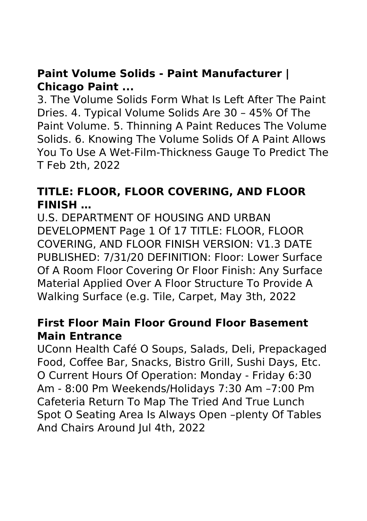#### **Paint Volume Solids - Paint Manufacturer | Chicago Paint ...**

3. The Volume Solids Form What Is Left After The Paint Dries. 4. Typical Volume Solids Are 30 – 45% Of The Paint Volume. 5. Thinning A Paint Reduces The Volume Solids. 6. Knowing The Volume Solids Of A Paint Allows You To Use A Wet-Film-Thickness Gauge To Predict The T Feb 2th, 2022

#### **TITLE: FLOOR, FLOOR COVERING, AND FLOOR FINISH …**

U.S. DEPARTMENT OF HOUSING AND URBAN DEVELOPMENT Page 1 Of 17 TITLE: FLOOR, FLOOR COVERING, AND FLOOR FINISH VERSION: V1.3 DATE PUBLISHED: 7/31/20 DEFINITION: Floor: Lower Surface Of A Room Floor Covering Or Floor Finish: Any Surface Material Applied Over A Floor Structure To Provide A Walking Surface (e.g. Tile, Carpet, May 3th, 2022

#### **First Floor Main Floor Ground Floor Basement Main Entrance**

UConn Health Café O Soups, Salads, Deli, Prepackaged Food, Coffee Bar, Snacks, Bistro Grill, Sushi Days, Etc. O Current Hours Of Operation: Monday - Friday 6:30 Am - 8:00 Pm Weekends/Holidays 7:30 Am –7:00 Pm Cafeteria Return To Map The Tried And True Lunch Spot O Seating Area Is Always Open –plenty Of Tables And Chairs Around Jul 4th, 2022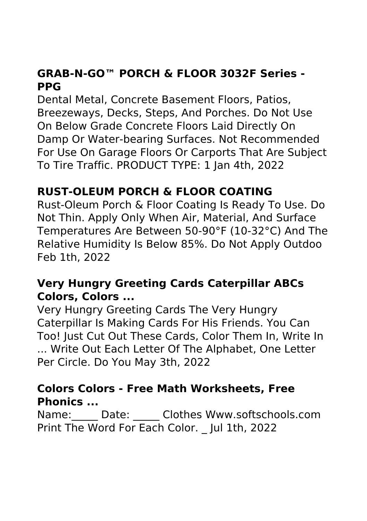# **GRAB-N-GO™ PORCH & FLOOR 3032F Series - PPG**

Dental Metal, Concrete Basement Floors, Patios, Breezeways, Decks, Steps, And Porches. Do Not Use On Below Grade Concrete Floors Laid Directly On Damp Or Water-bearing Surfaces. Not Recommended For Use On Garage Floors Or Carports That Are Subject To Tire Traffic. PRODUCT TYPE: 1 Jan 4th, 2022

# **RUST-OLEUM PORCH & FLOOR COATING**

Rust-Oleum Porch & Floor Coating Is Ready To Use. Do Not Thin. Apply Only When Air, Material, And Surface Temperatures Are Between 50-90°F (10-32°C) And The Relative Humidity Is Below 85%. Do Not Apply Outdoo Feb 1th, 2022

#### **Very Hungry Greeting Cards Caterpillar ABCs Colors, Colors ...**

Very Hungry Greeting Cards The Very Hungry Caterpillar Is Making Cards For His Friends. You Can Too! Just Cut Out These Cards, Color Them In, Write In ... Write Out Each Letter Of The Alphabet, One Letter Per Circle. Do You May 3th, 2022

#### **Colors Colors - Free Math Worksheets, Free Phonics ...**

Name: Date: Clothes Www.softschools.com Print The Word For Each Color. \_ Jul 1th, 2022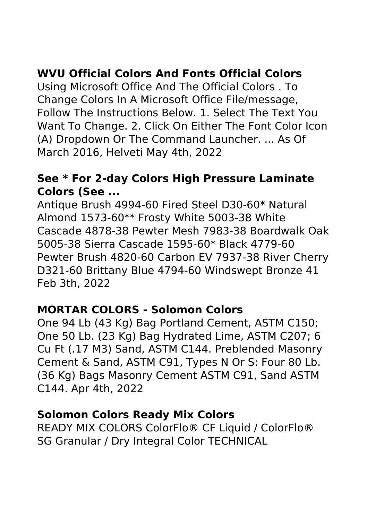# **WVU Official Colors And Fonts Official Colors**

Using Microsoft Office And The Official Colors . To Change Colors In A Microsoft Office File/message, Follow The Instructions Below. 1. Select The Text You Want To Change. 2. Click On Either The Font Color Icon (A) Dropdown Or The Command Launcher. ... As Of March 2016, Helveti May 4th, 2022

#### **See \* For 2-day Colors High Pressure Laminate Colors (See ...**

Antique Brush 4994-60 Fired Steel D30-60\* Natural Almond 1573-60\*\* Frosty White 5003-38 White Cascade 4878-38 Pewter Mesh 7983-38 Boardwalk Oak 5005-38 Sierra Cascade 1595-60\* Black 4779-60 Pewter Brush 4820-60 Carbon EV 7937-38 River Cherry D321-60 Brittany Blue 4794-60 Windswept Bronze 41 Feb 3th, 2022

#### **MORTAR COLORS - Solomon Colors**

One 94 Lb (43 Kg) Bag Portland Cement, ASTM C150; One 50 Lb. (23 Kg) Bag Hydrated Lime, ASTM C207; 6 Cu Ft (.17 M3) Sand, ASTM C144. Preblended Masonry Cement & Sand, ASTM C91, Types N Or S: Four 80 Lb. (36 Kg) Bags Masonry Cement ASTM C91, Sand ASTM C144. Apr 4th, 2022

#### **Solomon Colors Ready Mix Colors**

READY MIX COLORS ColorFlo® CF Liquid / ColorFlo® SG Granular / Dry Integral Color TECHNICAL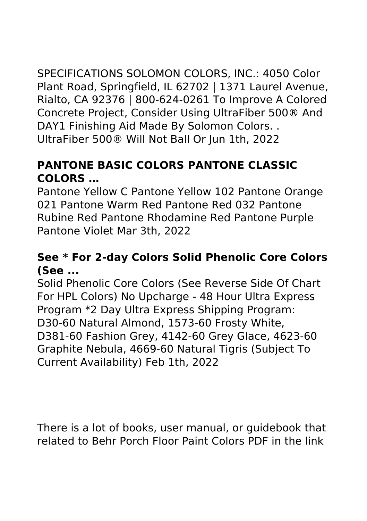SPECIFICATIONS SOLOMON COLORS, INC.: 4050 Color Plant Road, Springfield, IL 62702 | 1371 Laurel Avenue, Rialto, CA 92376 | 800-624-0261 To Improve A Colored Concrete Project, Consider Using UltraFiber 500® And DAY1 Finishing Aid Made By Solomon Colors. . UltraFiber 500® Will Not Ball Or Jun 1th, 2022

## **PANTONE BASIC COLORS PANTONE CLASSIC COLORS …**

Pantone Yellow C Pantone Yellow 102 Pantone Orange 021 Pantone Warm Red Pantone Red 032 Pantone Rubine Red Pantone Rhodamine Red Pantone Purple Pantone Violet Mar 3th, 2022

#### **See \* For 2-day Colors Solid Phenolic Core Colors (See ...**

Solid Phenolic Core Colors (See Reverse Side Of Chart For HPL Colors) No Upcharge - 48 Hour Ultra Express Program \*2 Day Ultra Express Shipping Program: D30-60 Natural Almond, 1573-60 Frosty White, D381-60 Fashion Grey, 4142-60 Grey Glace, 4623-60 Graphite Nebula, 4669-60 Natural Tigris (Subject To Current Availability) Feb 1th, 2022

There is a lot of books, user manual, or guidebook that related to Behr Porch Floor Paint Colors PDF in the link